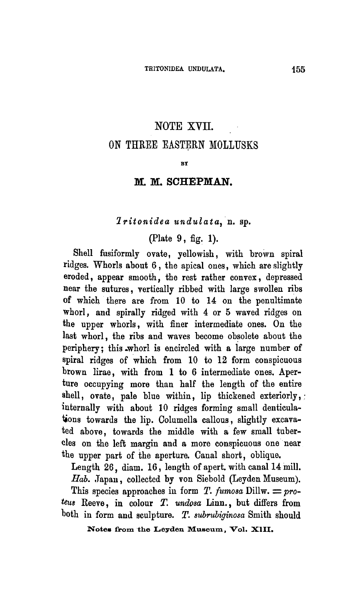## NOTE XVII.

## On three Eastern Mollusks

BY

## M.M. Schepman

#### Tritonidea undulata, a. sp.

### (Plate 9, fig. 1).

Shell fusiformly ovate, yellowish, with brown spiral ridges. Whorls about 6, the apical ones, which are slightly eroded, appear smooth, the rest rather convex, depressed near the sutures, vertically ribbed with large swollen ribs of which there are from <sup>10</sup> to 14 on the penultimate whorl, and spirally ridged with 4 or 5 waved ridges on the upper whorls, with finer intermediate ones. On the last whorl, the ribs and waves become obsolete about the periphery; this whorl is encircled with <sup>a</sup> large number of spiral ridges of which from 10 to 12 form conspicuous brown lirae, with from <sup>1</sup> to 6 intermediate ones. Aperture occupying more than half the length of the entire shell, ovate, pale blue within, lip thickened exteriorly, internally with about 10 ridges forming small denticulations towards the lip. Columella callous, slightly excavated above, towards the middle with a few small tubercles on the left margin and a more conspicuous one near the upper part of the aperture. Canal short, oblique.

Length 26, diam. 16, length of apert. with canal 14 mill. Hab. Japan, collected by von Siebold (Leyden Museum).

This species approaches in form T. fumosa Dillw.  $= pro$ teus Reeve, in colour T. undosa Linn., but differs from both in form and sculpture. T. subrubiginosa Smith should

Notes from the Leyden Museum, Vol. XIII.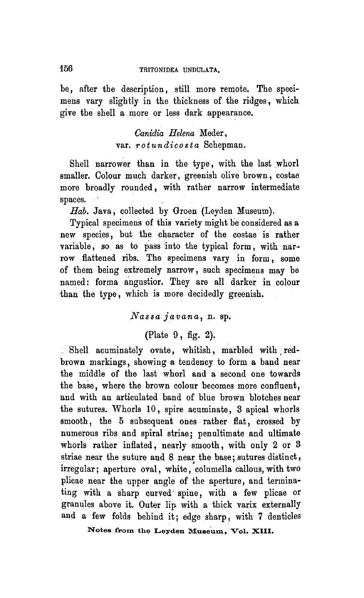be, after the description, still more remote. The specimens vary slightly in the thickness of the ridges, which give the shell a more or less dark appearance.

> Canidia Helena Meder, var. rotundicosta Schepman.

Shell narrower than in the type, with the last whorl smaller. Colour much darker, greenish olive brown, costae more broadly rounded, with rather narrow intermediate spaces.

Hab. Java, collected by Groen (Leyden Museum).

Typical specimens of this variety might be considered as <sup>a</sup> new species, but the character of the costae is rather variable, so as to pass into the typical form, with narrow flattened ribs. The specimens vary in form, some of them being extremely narrow, such specimens may be named: forma angustior. They are all darker in colour than the type, which is more decidedly greenish.

# Nassa javana, n. sp.

(Plate 9, fig. 2).

Shell acuminately ovate, whitish, marbled with redbrown markings, showing <sup>a</sup> tendency to form <sup>a</sup> band near the middle of the last whorl aud <sup>a</sup> second one towards the base, where the brown colour becomes more confluent, and with an articulated band of blue brown blotches near the sutures. Whorls 10, spire acuminate, <sup>3</sup> apical whorls smooth, the 5 subsequent ones rather flat, crossed by numerous ribs and spiral striae; penultimate and ultimate whorls rather inflated, nearly smooth, with only 2 or 3 striae near the suture and 8 near the base; sutures distinct, irregular; aperture oval, white, columella callous, with two plicae near the upper angle of the aperture, and terminating with <sup>a</sup> sharp curved spine, with <sup>a</sup> few plicae or granules above it. Outer lip with <sup>a</sup> thick varix externally and <sup>a</sup> few folds behind it; edge sharp, with <sup>7</sup> denticles

Notes from the Leyden Museum, Vol. XIII.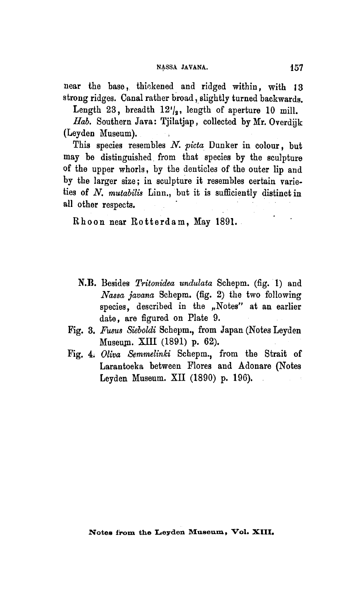near the base, thickened and ridged within, with 13 strong ridges. Canal rather broad, slightly turned backwards.

Length 23, breadth  $12^{\prime}/_2$ , length of aperture 10 mill.

Hab. Southern Java: Tjilatjap, collected by Mr. Overdijk (Leyden Museum).

This species resembles N. picta Dunker in colour, but may be distinguished from that species by the sculpture of the upper whorls, by the denticles of the outer lip and by the larger size; in sculpture it resembles certain varieties of N. mutabilis Linn., but it is sufficiently distinct in all other respects.

Rhoon near Rotterdam, May 1891.

- N.B. Besides Tritonidea undulata Schepm. (fig. 1) and Nassa javana Schepm. (fig. 2) the two following species, described in the "Notes" at an earlier date, are figured on Plate 9.
- Pig. 3. Fusus Sieboldi Schepm., from Japan (Notes Leyden Museum. XIII (1891) p. 62).
- Fig. 4. Oliva Semmelinki Schepm., from the Strait of Larantoeka between Flores and Adonare (Notes Leyden Museum. XII (1890) p. 196).